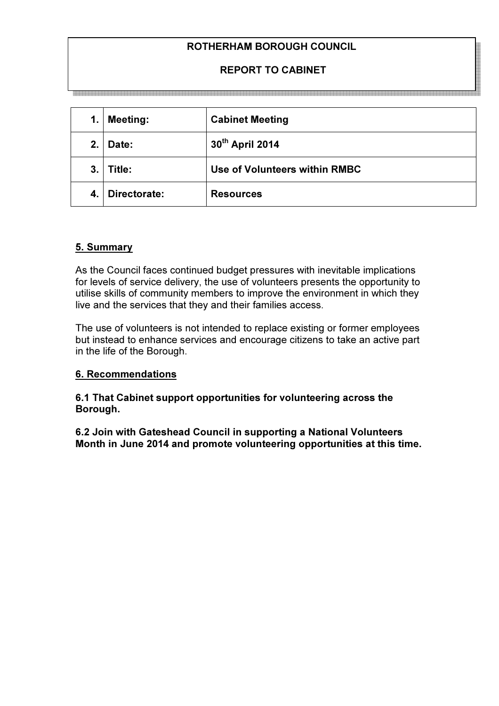# ROTHERHAM BOROUGH COUNCIL

## REPORT TO CABINET

| 1. | <b>Meeting:</b> | <b>Cabinet Meeting</b>        |
|----|-----------------|-------------------------------|
| 2. | Date:           | 30th April 2014               |
| 3. | Title:          | Use of Volunteers within RMBC |
| 4. | Directorate:    | <b>Resources</b>              |

### 5. Summary

As the Council faces continued budget pressures with inevitable implications for levels of service delivery, the use of volunteers presents the opportunity to utilise skills of community members to improve the environment in which they live and the services that they and their families access.

The use of volunteers is not intended to replace existing or former employees but instead to enhance services and encourage citizens to take an active part in the life of the Borough.

### 6. Recommendations

6.1 That Cabinet support opportunities for volunteering across the Borough.

6.2 Join with Gateshead Council in supporting a National Volunteers Month in June 2014 and promote volunteering opportunities at this time.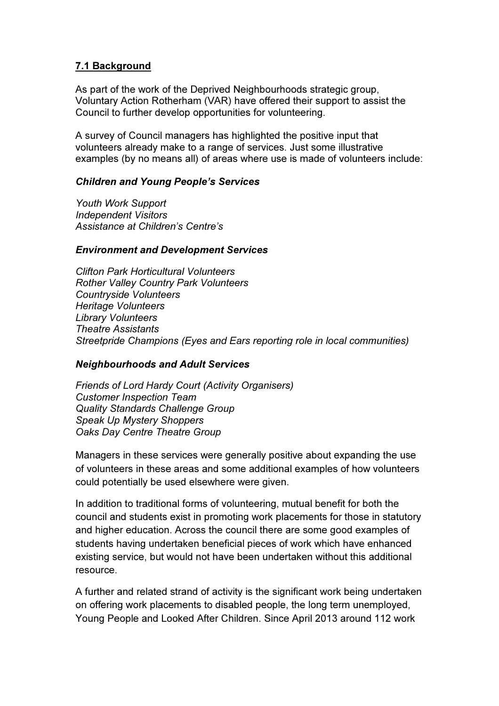## 7.1 Background

As part of the work of the Deprived Neighbourhoods strategic group, Voluntary Action Rotherham (VAR) have offered their support to assist the Council to further develop opportunities for volunteering.

A survey of Council managers has highlighted the positive input that volunteers already make to a range of services. Just some illustrative examples (by no means all) of areas where use is made of volunteers include:

### Children and Young People's Services

Youth Work Support Independent Visitors Assistance at Children's Centre's

#### Environment and Development Services

Clifton Park Horticultural Volunteers Rother Valley Country Park Volunteers Countryside Volunteers Heritage Volunteers Library Volunteers Theatre Assistants Streetpride Champions (Eyes and Ears reporting role in local communities)

### Neighbourhoods and Adult Services

Friends of Lord Hardy Court (Activity Organisers) Customer Inspection Team Quality Standards Challenge Group Speak Up Mystery Shoppers Oaks Day Centre Theatre Group

Managers in these services were generally positive about expanding the use of volunteers in these areas and some additional examples of how volunteers could potentially be used elsewhere were given.

In addition to traditional forms of volunteering, mutual benefit for both the council and students exist in promoting work placements for those in statutory and higher education. Across the council there are some good examples of students having undertaken beneficial pieces of work which have enhanced existing service, but would not have been undertaken without this additional resource.

A further and related strand of activity is the significant work being undertaken on offering work placements to disabled people, the long term unemployed, Young People and Looked After Children. Since April 2013 around 112 work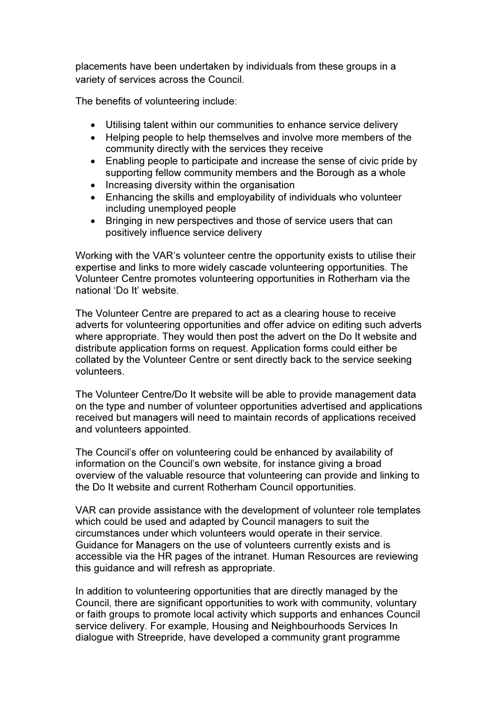placements have been undertaken by individuals from these groups in a variety of services across the Council.

The benefits of volunteering include:

- Utilising talent within our communities to enhance service delivery
- Helping people to help themselves and involve more members of the community directly with the services they receive
- Enabling people to participate and increase the sense of civic pride by supporting fellow community members and the Borough as a whole
- Increasing diversity within the organisation
- Enhancing the skills and employability of individuals who volunteer including unemployed people
- Bringing in new perspectives and those of service users that can positively influence service delivery

Working with the VAR's volunteer centre the opportunity exists to utilise their expertise and links to more widely cascade volunteering opportunities. The Volunteer Centre promotes volunteering opportunities in Rotherham via the national 'Do It' website.

The Volunteer Centre are prepared to act as a clearing house to receive adverts for volunteering opportunities and offer advice on editing such adverts where appropriate. They would then post the advert on the Do It website and distribute application forms on request. Application forms could either be collated by the Volunteer Centre or sent directly back to the service seeking volunteers.

The Volunteer Centre/Do It website will be able to provide management data on the type and number of volunteer opportunities advertised and applications received but managers will need to maintain records of applications received and volunteers appointed.

The Council's offer on volunteering could be enhanced by availability of information on the Council's own website, for instance giving a broad overview of the valuable resource that volunteering can provide and linking to the Do It website and current Rotherham Council opportunities.

VAR can provide assistance with the development of volunteer role templates which could be used and adapted by Council managers to suit the circumstances under which volunteers would operate in their service. Guidance for Managers on the use of volunteers currently exists and is accessible via the HR pages of the intranet. Human Resources are reviewing this guidance and will refresh as appropriate.

In addition to volunteering opportunities that are directly managed by the Council, there are significant opportunities to work with community, voluntary or faith groups to promote local activity which supports and enhances Council service delivery. For example, Housing and Neighbourhoods Services In dialogue with Streepride, have developed a community grant programme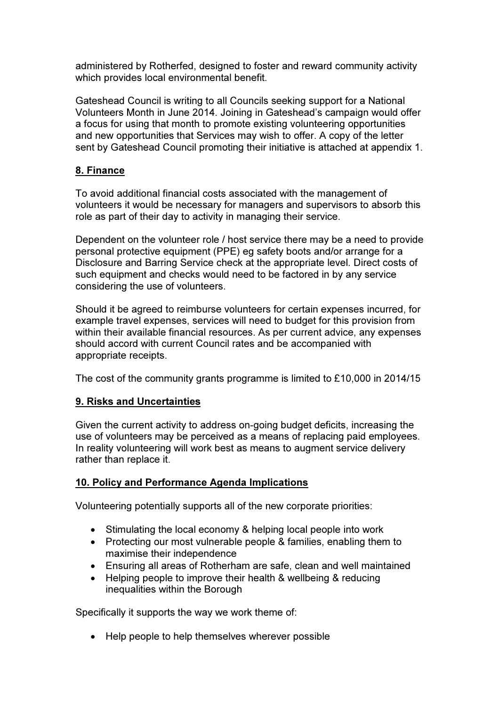administered by Rotherfed, designed to foster and reward community activity which provides local environmental benefit.

Gateshead Council is writing to all Councils seeking support for a National Volunteers Month in June 2014. Joining in Gateshead's campaign would offer a focus for using that month to promote existing volunteering opportunities and new opportunities that Services may wish to offer. A copy of the letter sent by Gateshead Council promoting their initiative is attached at appendix 1.

## 8. Finance

To avoid additional financial costs associated with the management of volunteers it would be necessary for managers and supervisors to absorb this role as part of their day to activity in managing their service.

Dependent on the volunteer role / host service there may be a need to provide personal protective equipment (PPE) eg safety boots and/or arrange for a Disclosure and Barring Service check at the appropriate level. Direct costs of such equipment and checks would need to be factored in by any service considering the use of volunteers.

Should it be agreed to reimburse volunteers for certain expenses incurred, for example travel expenses, services will need to budget for this provision from within their available financial resources. As per current advice, any expenses should accord with current Council rates and be accompanied with appropriate receipts.

The cost of the community grants programme is limited to £10,000 in 2014/15

## 9. Risks and Uncertainties

Given the current activity to address on-going budget deficits, increasing the use of volunteers may be perceived as a means of replacing paid employees. In reality volunteering will work best as means to augment service delivery rather than replace it.

# 10. Policy and Performance Agenda Implications

Volunteering potentially supports all of the new corporate priorities:

- Stimulating the local economy & helping local people into work
- Protecting our most vulnerable people & families, enabling them to maximise their independence
- Ensuring all areas of Rotherham are safe, clean and well maintained
- Helping people to improve their health & wellbeing & reducing inequalities within the Borough

Specifically it supports the way we work theme of:

• Help people to help themselves wherever possible